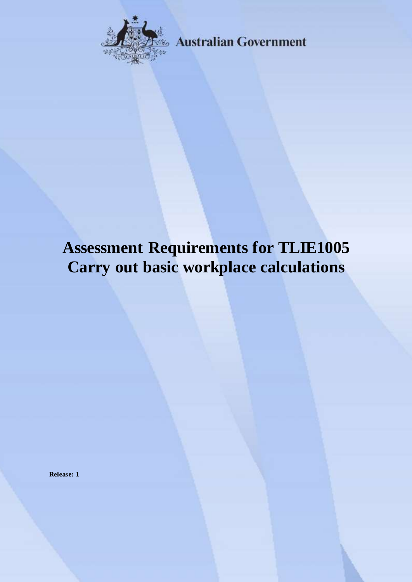

**Australian Government** 

# **Assessment Requirements for TLIE1005 Carry out basic workplace calculations**

**Release: 1**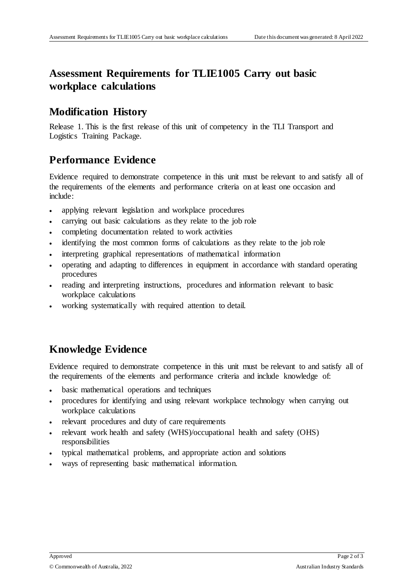## **Assessment Requirements for TLIE1005 Carry out basic workplace calculations**

### **Modification History**

Release 1. This is the first release of this unit of competency in the TLI Transport and Logistics Training Package.

## **Performance Evidence**

Evidence required to demonstrate competence in this unit must be relevant to and satisfy all of the requirements of the elements and performance criteria on at least one occasion and include:

- applying relevant legislation and workplace procedures
- carrying out basic calculations as they relate to the job role
- completing documentation related to work activities
- identifying the most common forms of calculations as they relate to the job role
- interpreting graphical representations of mathematical information
- operating and adapting to differences in equipment in accordance with standard operating procedures
- reading and interpreting instructions, procedures and information relevant to basic workplace calculations
- working systematically with required attention to detail.

## **Knowledge Evidence**

Evidence required to demonstrate competence in this unit must be relevant to and satisfy all of the requirements of the elements and performance criteria and include knowledge of:

- basic mathematical operations and techniques
- procedures for identifying and using relevant workplace technology when carrying out workplace calculations
- relevant procedures and duty of care requirements
- relevant work health and safety (WHS)/occupational health and safety (OHS) responsibilities
- typical mathematical problems, and appropriate action and solutions
- ways of representing basic mathematical information.